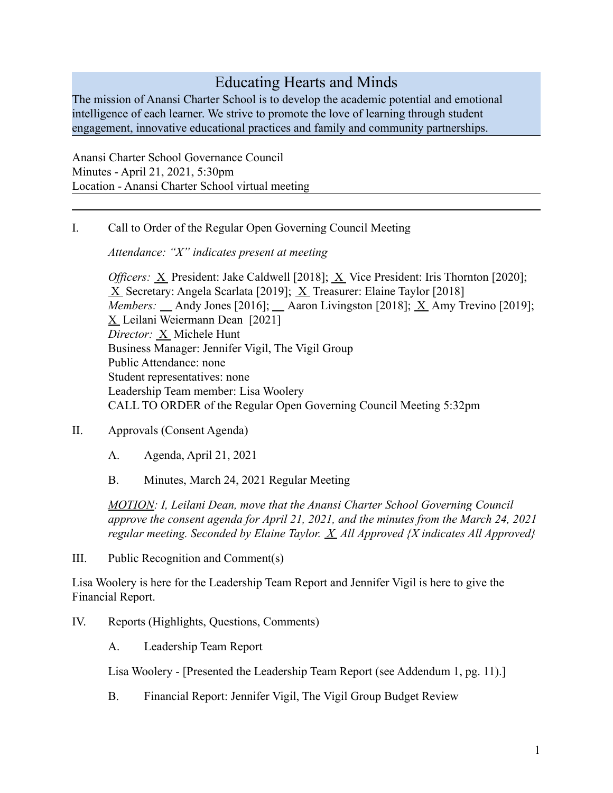# Educating Hearts and Minds

The mission of Anansi Charter School is to develop the academic potential and emotional intelligence of each learner. We strive to promote the love of learning through student engagement, innovative educational practices and family and community partnerships.

Anansi Charter School Governance Council Minutes - April 21, 2021, 5:30pm Location - Anansi Charter School virtual meeting

I. Call to Order of the Regular Open Governing Council Meeting

*Attendance: "X" indicates present at meeting*

*Officers:* X President: Jake Caldwell [2018]; X Vice President: Iris Thornton [2020]; X Secretary: Angela Scarlata [2019]; X Treasurer: Elaine Taylor [2018] *Members:*  $\_\$  Andy Jones [2016];  $\_\$  Aaron Livingston [2018];  $\overline{X}$  Amy Trevino [2019]; X Leilani Weiermann Dean [2021] *Director:* X Michele Hunt Business Manager: Jennifer Vigil, The Vigil Group Public Attendance: none Student representatives: none Leadership Team member: Lisa Woolery CALL TO ORDER of the Regular Open Governing Council Meeting 5:32pm

- II. Approvals (Consent Agenda)
	- A. Agenda, April 21, 2021
	- B. Minutes, March 24, 2021 Regular Meeting

*MOTION: I, Leilani Dean, move that the Anansi Charter School Governing Council approve the consent agenda for April 21, 2021, and the minutes from the March 24, 2021 regular meeting. Seconded by Elaine Taylor. X All Approved {X indicates All Approved}*

III. Public Recognition and Comment(s)

Lisa Woolery is here for the Leadership Team Report and Jennifer Vigil is here to give the Financial Report.

IV. Reports (Highlights, Questions, Comments)

A. Leadership Team Report

Lisa Woolery - [Presented the Leadership Team Report (see Addendum 1, pg. 11).]

B. Financial Report: Jennifer Vigil, The Vigil Group Budget Review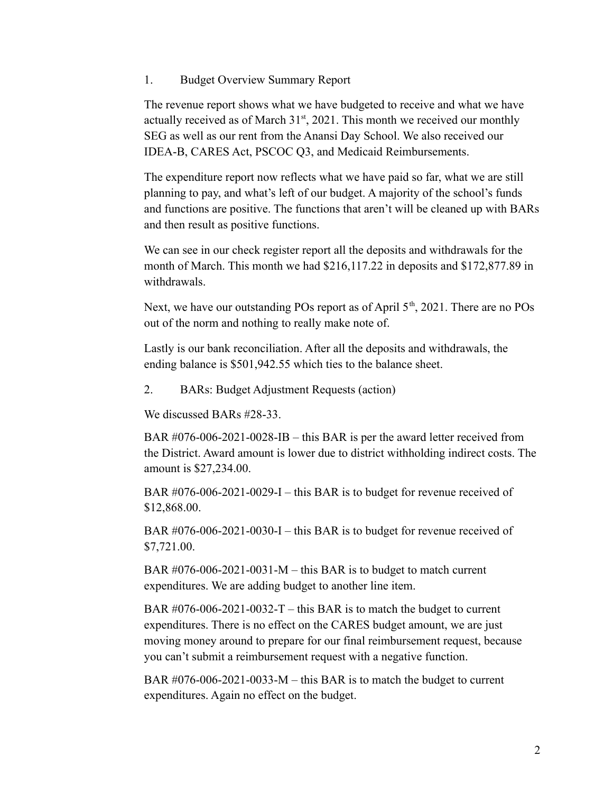#### 1. Budget Overview Summary Report

The revenue report shows what we have budgeted to receive and what we have actually received as of March  $31<sup>st</sup>$ , 2021. This month we received our monthly SEG as well as our rent from the Anansi Day School. We also received our IDEA-B, CARES Act, PSCOC Q3, and Medicaid Reimbursements.

The expenditure report now reflects what we have paid so far, what we are still planning to pay, and what's left of our budget. A majority of the school's funds and functions are positive. The functions that aren't will be cleaned up with BARs and then result as positive functions.

We can see in our check register report all the deposits and withdrawals for the month of March. This month we had \$216,117.22 in deposits and \$172,877.89 in withdrawals.

Next, we have our outstanding POs report as of April  $5<sup>th</sup>$ , 2021. There are no POs out of the norm and nothing to really make note of.

Lastly is our bank reconciliation. After all the deposits and withdrawals, the ending balance is \$501,942.55 which ties to the balance sheet.

2. BARs: Budget Adjustment Requests (action)

We discussed BARs #28-33.

BAR #076-006-2021-0028-IB – this BAR is per the award letter received from the District. Award amount is lower due to district withholding indirect costs. The amount is \$27,234.00.

BAR #076-006-2021-0029-I – this BAR is to budget for revenue received of \$12,868.00.

BAR #076-006-2021-0030-I – this BAR is to budget for revenue received of \$7,721.00.

BAR  $\#076-006-2021-0031-M$  – this BAR is to budget to match current expenditures. We are adding budget to another line item.

BAR  $\#076-006-2021-0032-T$  – this BAR is to match the budget to current expenditures. There is no effect on the CARES budget amount, we are just moving money around to prepare for our final reimbursement request, because you can't submit a reimbursement request with a negative function.

BAR #076-006-2021-0033-M – this BAR is to match the budget to current expenditures. Again no effect on the budget.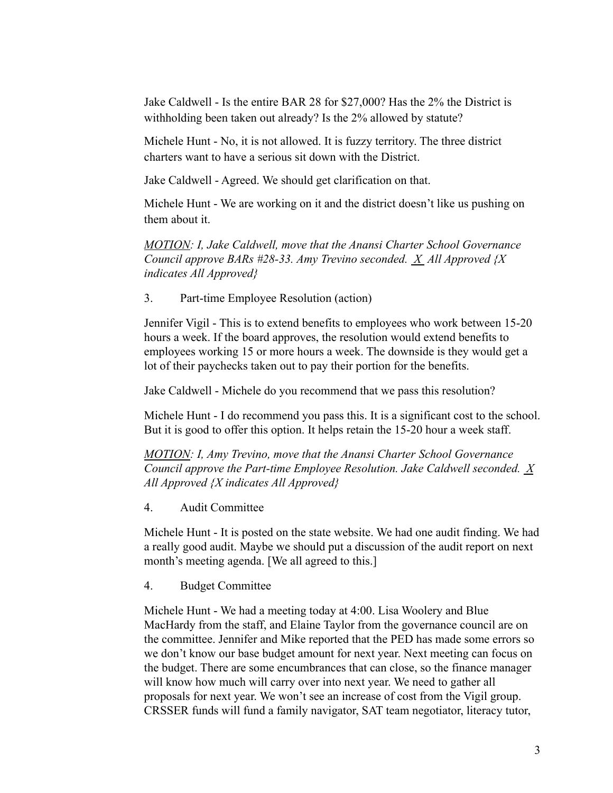Jake Caldwell - Is the entire BAR 28 for \$27,000? Has the 2% the District is withholding been taken out already? Is the 2% allowed by statute?

Michele Hunt - No, it is not allowed. It is fuzzy territory. The three district charters want to have a serious sit down with the District.

Jake Caldwell - Agreed. We should get clarification on that.

Michele Hunt - We are working on it and the district doesn't like us pushing on them about it.

*MOTION: I, Jake Caldwell, move that the Anansi Charter School Governance Council approve BARs #28-33. Amy Trevino seconded. X All Approved {X indicates All Approved}*

3. Part-time Employee Resolution (action)

Jennifer Vigil - This is to extend benefits to employees who work between 15-20 hours a week. If the board approves, the resolution would extend benefits to employees working 15 or more hours a week. The downside is they would get a lot of their paychecks taken out to pay their portion for the benefits.

Jake Caldwell - Michele do you recommend that we pass this resolution?

Michele Hunt - I do recommend you pass this. It is a significant cost to the school. But it is good to offer this option. It helps retain the 15-20 hour a week staff.

*MOTION: I, Amy Trevino, move that the Anansi Charter School Governance Council approve the Part-time Employee Resolution. Jake Caldwell seconded. X All Approved {X indicates All Approved}*

4. Audit Committee

Michele Hunt - It is posted on the state website. We had one audit finding. We had a really good audit. Maybe we should put a discussion of the audit report on next month's meeting agenda. [We all agreed to this.]

4. Budget Committee

Michele Hunt - We had a meeting today at 4:00. Lisa Woolery and Blue MacHardy from the staff, and Elaine Taylor from the governance council are on the committee. Jennifer and Mike reported that the PED has made some errors so we don't know our base budget amount for next year. Next meeting can focus on the budget. There are some encumbrances that can close, so the finance manager will know how much will carry over into next year. We need to gather all proposals for next year. We won't see an increase of cost from the Vigil group. CRSSER funds will fund a family navigator, SAT team negotiator, literacy tutor,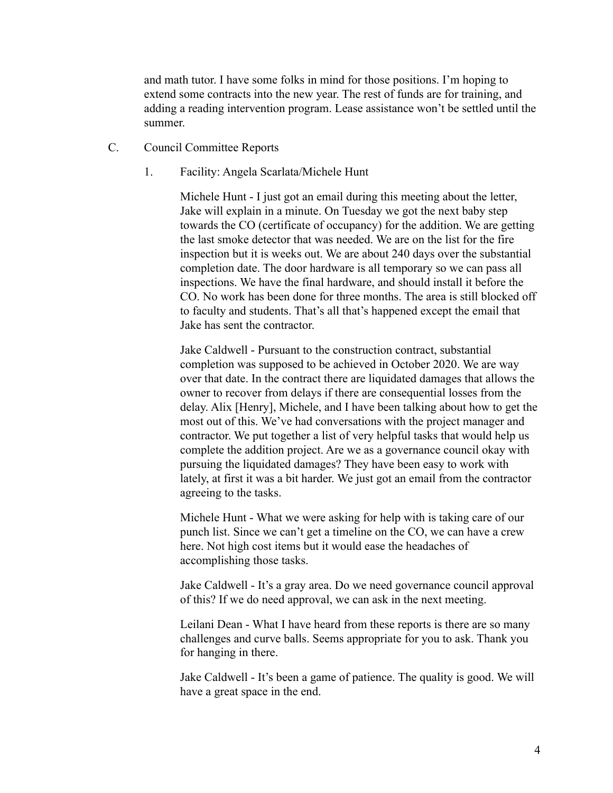and math tutor. I have some folks in mind for those positions. I'm hoping to extend some contracts into the new year. The rest of funds are for training, and adding a reading intervention program. Lease assistance won't be settled until the summer.

- C. Council Committee Reports
	- 1. Facility: Angela Scarlata/Michele Hunt

Michele Hunt - I just got an email during this meeting about the letter, Jake will explain in a minute. On Tuesday we got the next baby step towards the CO (certificate of occupancy) for the addition. We are getting the last smoke detector that was needed. We are on the list for the fire inspection but it is weeks out. We are about 240 days over the substantial completion date. The door hardware is all temporary so we can pass all inspections. We have the final hardware, and should install it before the CO. No work has been done for three months. The area is still blocked off to faculty and students. That's all that's happened except the email that Jake has sent the contractor.

Jake Caldwell - Pursuant to the construction contract, substantial completion was supposed to be achieved in October 2020. We are way over that date. In the contract there are liquidated damages that allows the owner to recover from delays if there are consequential losses from the delay. Alix [Henry], Michele, and I have been talking about how to get the most out of this. We've had conversations with the project manager and contractor. We put together a list of very helpful tasks that would help us complete the addition project. Are we as a governance council okay with pursuing the liquidated damages? They have been easy to work with lately, at first it was a bit harder. We just got an email from the contractor agreeing to the tasks.

Michele Hunt - What we were asking for help with is taking care of our punch list. Since we can't get a timeline on the CO, we can have a crew here. Not high cost items but it would ease the headaches of accomplishing those tasks.

Jake Caldwell - It's a gray area. Do we need governance council approval of this? If we do need approval, we can ask in the next meeting.

Leilani Dean - What I have heard from these reports is there are so many challenges and curve balls. Seems appropriate for you to ask. Thank you for hanging in there.

Jake Caldwell - It's been a game of patience. The quality is good. We will have a great space in the end.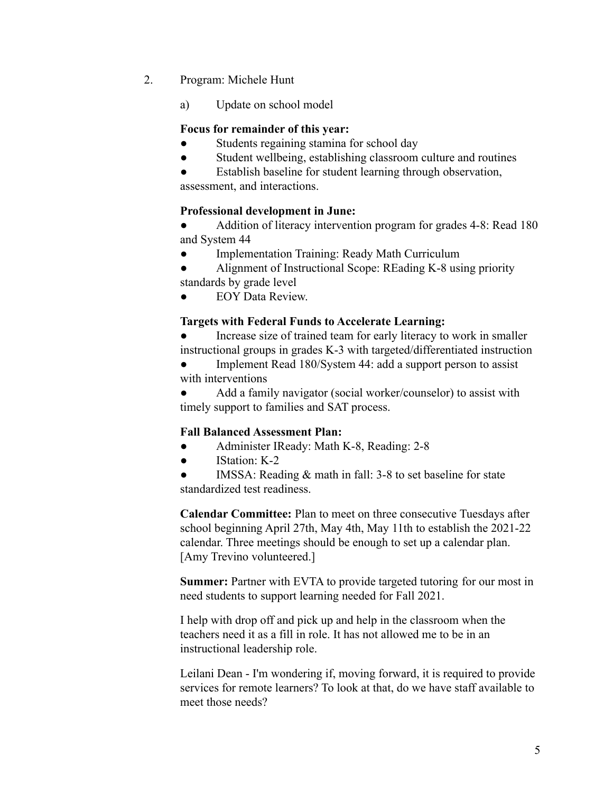- 2. Program: Michele Hunt
	- a) Update on school model

#### **Focus for remainder of this year:**

- Students regaining stamina for school day
- Student wellbeing, establishing classroom culture and routines
- Establish baseline for student learning through observation, assessment, and interactions.

#### **Professional development in June:**

- Addition of literacy intervention program for grades 4-8: Read 180 and System 44
- **Implementation Training: Ready Math Curriculum**
- Alignment of Instructional Scope: REading K-8 using priority standards by grade level
- **EOY Data Review.**

## **Targets with Federal Funds to Accelerate Learning:**

- Increase size of trained team for early literacy to work in smaller instructional groups in grades K-3 with targeted/differentiated instruction
- Implement Read 180/System 44: add a support person to assist with interventions

Add a family navigator (social worker/counselor) to assist with timely support to families and SAT process.

## **Fall Balanced Assessment Plan:**

- Administer IReady: Math K-8, Reading: 2-8
- IStation: K-2
- IMSSA: Reading  $&$  math in fall: 3-8 to set baseline for state standardized test readiness.

**Calendar Committee:** Plan to meet on three consecutive Tuesdays after school beginning April 27th, May 4th, May 11th to establish the 2021-22 calendar. Three meetings should be enough to set up a calendar plan. [Amy Trevino volunteered.]

**Summer:** Partner with EVTA to provide targeted tutoring for our most in need students to support learning needed for Fall 2021.

I help with drop off and pick up and help in the classroom when the teachers need it as a fill in role. It has not allowed me to be in an instructional leadership role.

Leilani Dean - I'm wondering if, moving forward, it is required to provide services for remote learners? To look at that, do we have staff available to meet those needs?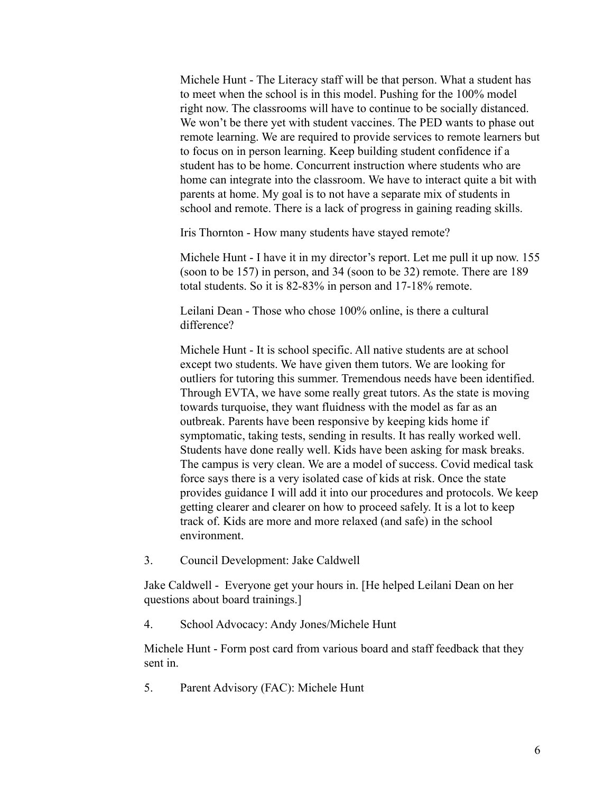Michele Hunt - The Literacy staff will be that person. What a student has to meet when the school is in this model. Pushing for the 100% model right now. The classrooms will have to continue to be socially distanced. We won't be there yet with student vaccines. The PED wants to phase out remote learning. We are required to provide services to remote learners but to focus on in person learning. Keep building student confidence if a student has to be home. Concurrent instruction where students who are home can integrate into the classroom. We have to interact quite a bit with parents at home. My goal is to not have a separate mix of students in school and remote. There is a lack of progress in gaining reading skills.

Iris Thornton - How many students have stayed remote?

Michele Hunt - I have it in my director's report. Let me pull it up now. 155 (soon to be 157) in person, and 34 (soon to be 32) remote. There are 189 total students. So it is 82-83% in person and 17-18% remote.

Leilani Dean - Those who chose 100% online, is there a cultural difference?

Michele Hunt - It is school specific. All native students are at school except two students. We have given them tutors. We are looking for outliers for tutoring this summer. Tremendous needs have been identified. Through EVTA, we have some really great tutors. As the state is moving towards turquoise, they want fluidness with the model as far as an outbreak. Parents have been responsive by keeping kids home if symptomatic, taking tests, sending in results. It has really worked well. Students have done really well. Kids have been asking for mask breaks. The campus is very clean. We are a model of success. Covid medical task force says there is a very isolated case of kids at risk. Once the state provides guidance I will add it into our procedures and protocols. We keep getting clearer and clearer on how to proceed safely. It is a lot to keep track of. Kids are more and more relaxed (and safe) in the school environment.

3. Council Development: Jake Caldwell

Jake Caldwell - Everyone get your hours in. [He helped Leilani Dean on her questions about board trainings.]

4. School Advocacy: Andy Jones/Michele Hunt

Michele Hunt - Form post card from various board and staff feedback that they sent in.

5. Parent Advisory (FAC): Michele Hunt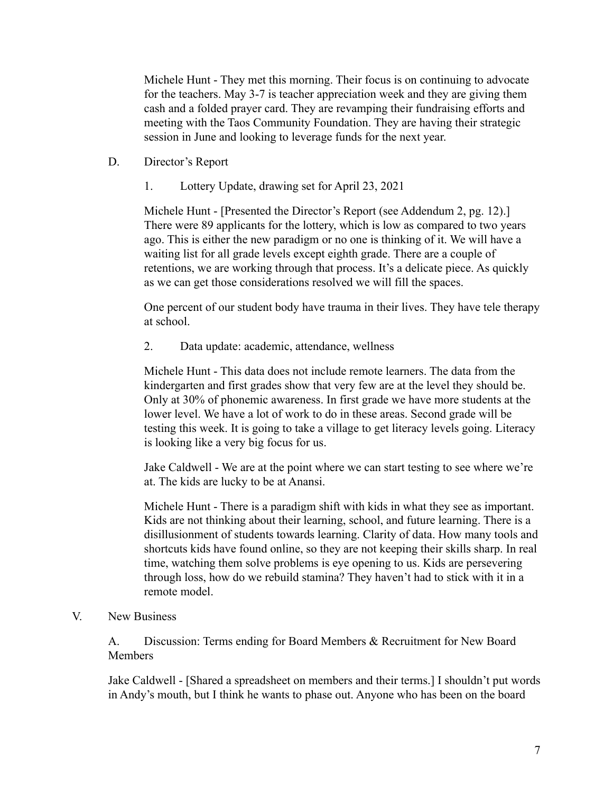Michele Hunt - They met this morning. Their focus is on continuing to advocate for the teachers. May 3-7 is teacher appreciation week and they are giving them cash and a folded prayer card. They are revamping their fundraising efforts and meeting with the Taos Community Foundation. They are having their strategic session in June and looking to leverage funds for the next year.

- D. Director's Report
	- 1. Lottery Update, drawing set for April 23, 2021

Michele Hunt - [Presented the Director's Report (see Addendum 2, pg. 12).] There were 89 applicants for the lottery, which is low as compared to two years ago. This is either the new paradigm or no one is thinking of it. We will have a waiting list for all grade levels except eighth grade. There are a couple of retentions, we are working through that process. It's a delicate piece. As quickly as we can get those considerations resolved we will fill the spaces.

One percent of our student body have trauma in their lives. They have tele therapy at school.

2. Data update: academic, attendance, wellness

Michele Hunt - This data does not include remote learners. The data from the kindergarten and first grades show that very few are at the level they should be. Only at 30% of phonemic awareness. In first grade we have more students at the lower level. We have a lot of work to do in these areas. Second grade will be testing this week. It is going to take a village to get literacy levels going. Literacy is looking like a very big focus for us.

Jake Caldwell - We are at the point where we can start testing to see where we're at. The kids are lucky to be at Anansi.

Michele Hunt - There is a paradigm shift with kids in what they see as important. Kids are not thinking about their learning, school, and future learning. There is a disillusionment of students towards learning. Clarity of data. How many tools and shortcuts kids have found online, so they are not keeping their skills sharp. In real time, watching them solve problems is eye opening to us. Kids are persevering through loss, how do we rebuild stamina? They haven't had to stick with it in a remote model.

## V. New Business

A. Discussion: Terms ending for Board Members & Recruitment for New Board Members

Jake Caldwell - [Shared a spreadsheet on members and their terms.] I shouldn't put words in Andy's mouth, but I think he wants to phase out. Anyone who has been on the board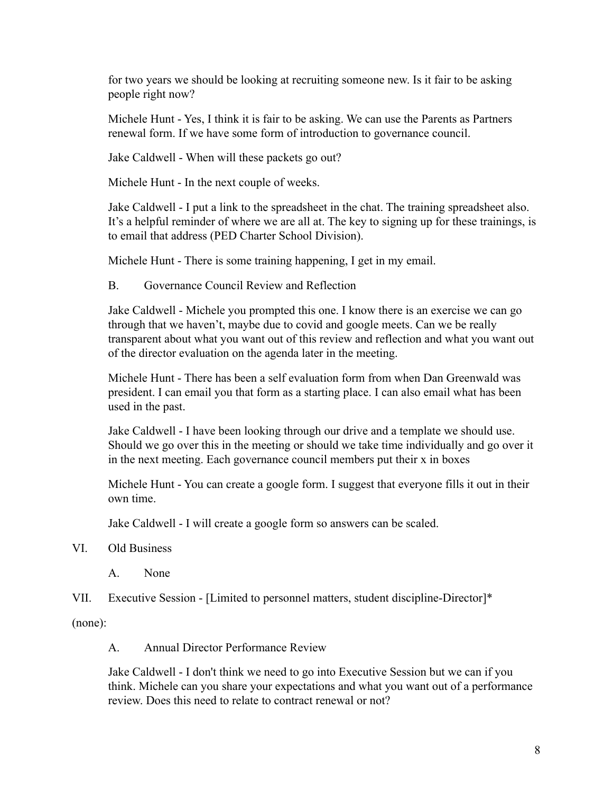for two years we should be looking at recruiting someone new. Is it fair to be asking people right now?

Michele Hunt - Yes, I think it is fair to be asking. We can use the Parents as Partners renewal form. If we have some form of introduction to governance council.

Jake Caldwell - When will these packets go out?

Michele Hunt - In the next couple of weeks.

Jake Caldwell - I put a link to the spreadsheet in the chat. The training spreadsheet also. It's a helpful reminder of where we are all at. The key to signing up for these trainings, is to email that address (PED Charter School Division).

Michele Hunt - There is some training happening, I get in my email.

B. Governance Council Review and Reflection

Jake Caldwell - Michele you prompted this one. I know there is an exercise we can go through that we haven't, maybe due to covid and google meets. Can we be really transparent about what you want out of this review and reflection and what you want out of the director evaluation on the agenda later in the meeting.

Michele Hunt - There has been a self evaluation form from when Dan Greenwald was president. I can email you that form as a starting place. I can also email what has been used in the past.

Jake Caldwell - I have been looking through our drive and a template we should use. Should we go over this in the meeting or should we take time individually and go over it in the next meeting. Each governance council members put their x in boxes

Michele Hunt - You can create a google form. I suggest that everyone fills it out in their own time.

Jake Caldwell - I will create a google form so answers can be scaled.

## VI. Old Business

A. None

VII. Executive Session - [Limited to personnel matters, student discipline-Director]\*

(none):

A. Annual Director Performance Review

Jake Caldwell - I don't think we need to go into Executive Session but we can if you think. Michele can you share your expectations and what you want out of a performance review. Does this need to relate to contract renewal or not?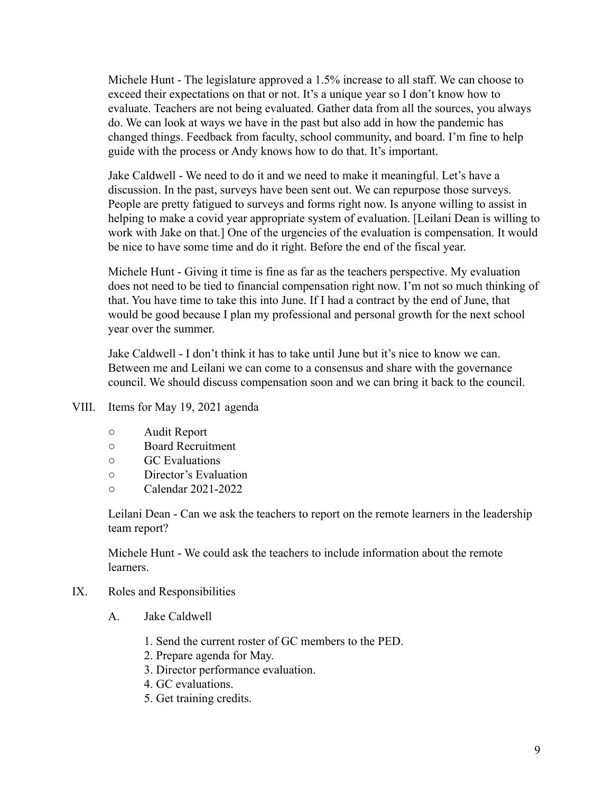Michele Hunt - The legislature approved a 1.5% increase to all staff. We can choose to exceed their expectations on that or not. It's a unique year so I don't know how to evaluate. Teachers are not being evaluated. Gather data from all the sources, you always do. We can look at ways we have in the past but also add in how the pandemic has changed things. Feedback from faculty, school community, and board. I'm fine to help guide with the process or Andy knows how to do that. It's important.

Jake Caldwell - We need to do it and we need to make it meaningful. Let's have a discussion. In the past, surveys have been sent out. We can repurpose those surveys. People are pretty fatigued to surveys and forms right now. Is anyone willing to assist in helping to make a covid year appropriate system of evaluation. [Leilani Dean is willing to work with Jake on that.] One of the urgencies of the evaluation is compensation. It would be nice to have some time and do it right. Before the end of the fiscal year.

Michele Hunt - Giving it time is fine as far as the teachers perspective. My evaluation does not need to be tied to financial compensation right now. I'm not so much thinking of that. You have time to take this into June. If I had a contract by the end of June, that would be good because I plan my professional and personal growth for the next school year over the summer.

Jake Caldwell - I don't think it has to take until June but it's nice to know we can. Between me and Leilani we can come to a consensus and share with the governance council. We should discuss compensation soon and we can bring it back to the council.

- VIII. Items for May 19, 2021 agenda
	- Audit Report
	- Board Recruitment
	- GC Evaluations
	- Director's Evaluation
	- Calendar 2021-2022

Leilani Dean - Can we ask the teachers to report on the remote learners in the leadership team report?

Michele Hunt - We could ask the teachers to include information about the remote learners.

- IX. Roles and Responsibilities
	- A. Jake Caldwell
		- 1. Send the current roster of GC members to the PED.
		- 2. Prepare agenda for May.
		- 3. Director performance evaluation.
		- 4. GC evaluations.
		- 5. Get training credits.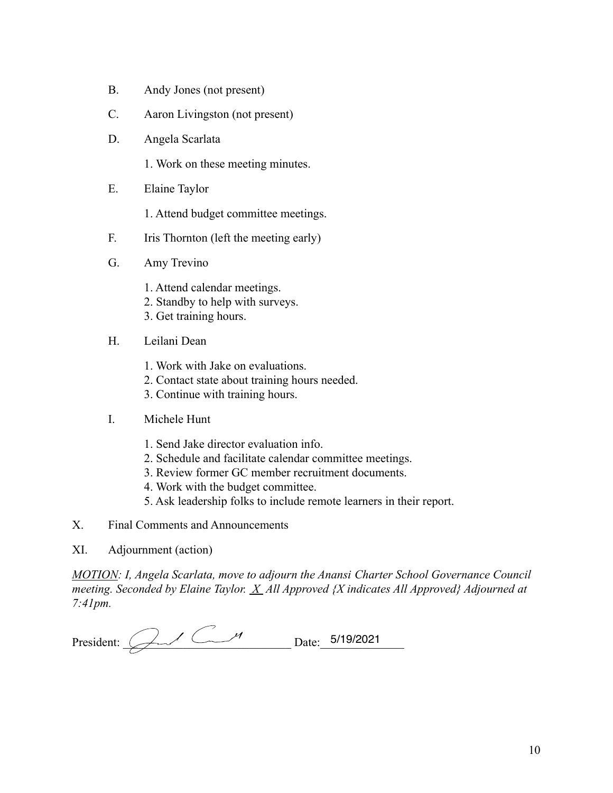- B. Andy Jones (not present)
- C. Aaron Livingston (not present)
- D. Angela Scarlata
	- 1. Work on these meeting minutes.
- E. Elaine Taylor
	- 1. Attend budget committee meetings.
- F. Iris Thornton (left the meeting early)
- G. Amy Trevino
	- 1. Attend calendar meetings.
	- 2. Standby to help with surveys.
	- 3. Get training hours.
- H. Leilani Dean
	- 1. Work with Jake on evaluations.
	- 2. Contact state about training hours needed.
	- 3. Continue with training hours.
- I. Michele Hunt
	- 1. Send Jake director evaluation info.
	- 2. Schedule and facilitate calendar committee meetings.
	- 3. Review former GC member recruitment documents.
	- 4. Work with the budget committee.
	- 5. Ask leadership folks to include remote learners in their report.
- X. Final Comments and Announcements
- XI. Adjournment (action)

*MOTION: I, Angela Scarlata, move to adjourn the Anansi Charter School Governance Council meeting. Seconded by Elaine Taylor. X All Approved {X indicates All Approved} Adjourned at 7:41pm.*

| Presi<br>∴dent∙ | - <b>.</b> . | 140/0024 |
|-----------------|--------------|----------|
|                 |              |          |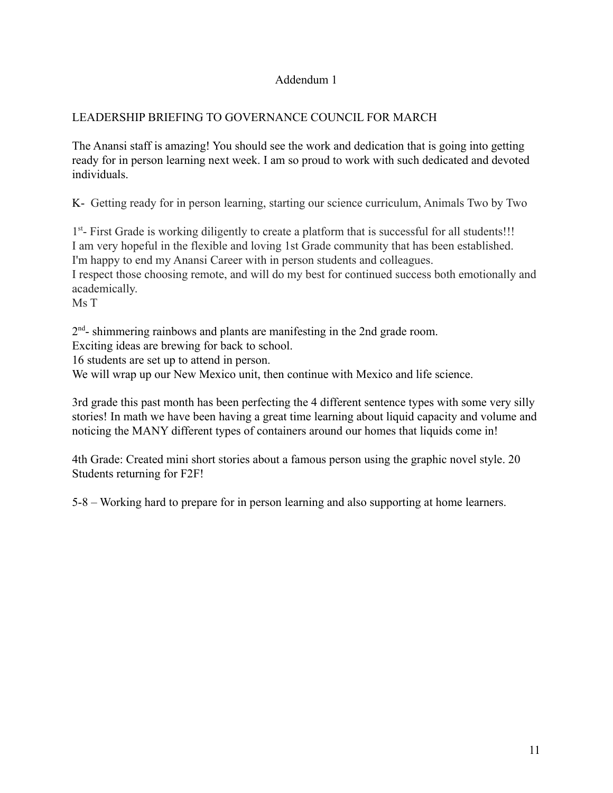## Addendum 1

## LEADERSHIP BRIEFING TO GOVERNANCE COUNCIL FOR MARCH

The Anansi staff is amazing! You should see the work and dedication that is going into getting ready for in person learning next week. I am so proud to work with such dedicated and devoted individuals.

K- Getting ready for in person learning, starting our science curriculum, Animals Two by Two

1<sup>st</sup>- First Grade is working diligently to create a platform that is successful for all students!!! I am very hopeful in the flexible and loving 1st Grade community that has been established. I'm happy to end my Anansi Career with in person students and colleagues. I respect those choosing remote, and will do my best for continued success both emotionally and academically.

Ms T

 $2<sup>nd</sup>$ - shimmering rainbows and plants are manifesting in the 2nd grade room.

Exciting ideas are brewing for back to school.

16 students are set up to attend in person.

We will wrap up our New Mexico unit, then continue with Mexico and life science.

3rd grade this past month has been perfecting the 4 different sentence types with some very silly stories! In math we have been having a great time learning about liquid capacity and volume and noticing the MANY different types of containers around our homes that liquids come in!

4th Grade: Created mini short stories about a famous person using the graphic novel style. 20 Students returning for F2F!

5-8 – Working hard to prepare for in person learning and also supporting at home learners.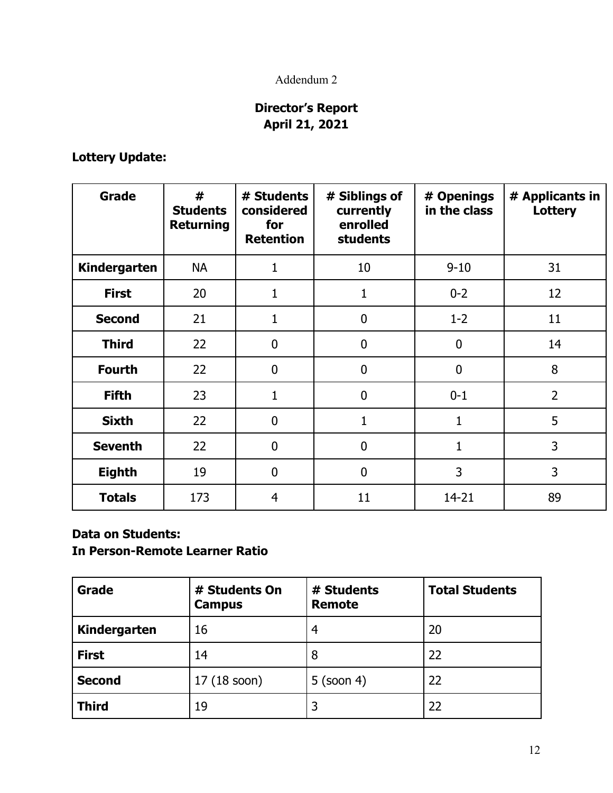## Addendum 2

# **Director's Report April 21, 2021**

**Lottery Update:**

| Grade               | #<br><b>Students</b><br><b>Returning</b> | # Students<br>considered<br>for<br><b>Retention</b> | # Siblings of<br>currently<br>enrolled<br><b>students</b> | # Openings<br>in the class | # Applicants in<br>Lottery |
|---------------------|------------------------------------------|-----------------------------------------------------|-----------------------------------------------------------|----------------------------|----------------------------|
| <b>Kindergarten</b> | <b>NA</b>                                | $\mathbf{1}$                                        | 10                                                        | $9 - 10$                   | 31                         |
| <b>First</b>        | 20                                       | $\mathbf 1$                                         | 1                                                         | $0 - 2$                    | 12                         |
| <b>Second</b>       | 21                                       | $\mathbf{1}$                                        | $\overline{0}$                                            | $1 - 2$                    | 11                         |
| <b>Third</b>        | 22                                       | $\boldsymbol{0}$                                    | $\mathbf 0$                                               | $\boldsymbol{0}$           | 14                         |
| <b>Fourth</b>       | 22                                       | $\mathbf 0$                                         | $\mathbf{0}$                                              | $\overline{0}$             | 8                          |
| <b>Fifth</b>        | 23                                       | $\mathbf{1}$                                        | $\overline{0}$                                            | $0 - 1$                    | $\overline{2}$             |
| <b>Sixth</b>        | 22                                       | $\mathbf 0$                                         | 1                                                         | 1                          | 5                          |
| <b>Seventh</b>      | 22                                       | $\mathbf 0$                                         | $\overline{0}$                                            | 1                          | 3                          |
| <b>Eighth</b>       | 19                                       | $\mathbf 0$                                         | $\mathbf 0$                                               | 3                          | 3                          |
| <b>Totals</b>       | 173                                      | 4                                                   | 11                                                        | 14-21                      | 89                         |

## **Data on Students:**

**In Person-Remote Learner Ratio**

| Grade         | # Students On<br><b>Campus</b> | # Students<br><b>Remote</b> | <b>Total Students</b> |
|---------------|--------------------------------|-----------------------------|-----------------------|
| Kindergarten  | 16                             | 4                           | 20                    |
| <b>First</b>  | 14                             | 8                           | 22                    |
| <b>Second</b> | 17 (18 soon)                   | $5$ (soon 4)                | 22                    |
| <b>Third</b>  | 19                             | 3                           | 22                    |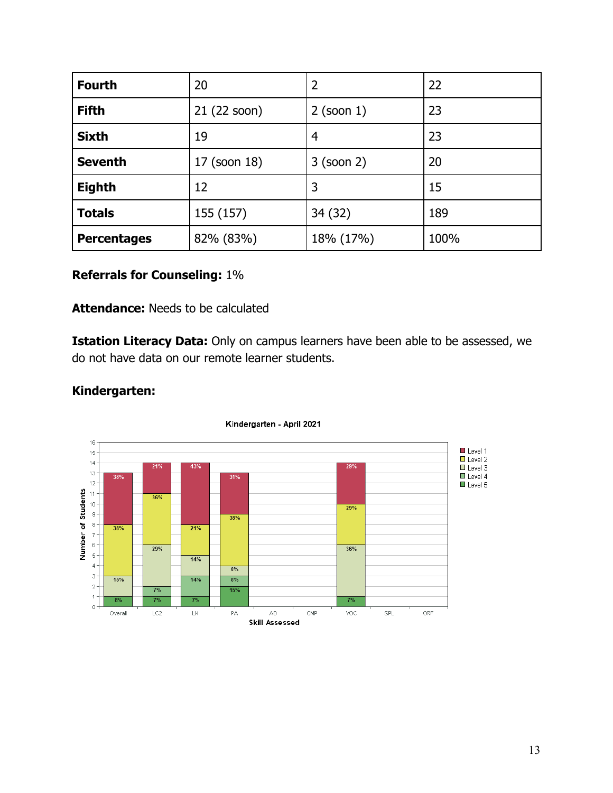| <b>Fourth</b>      | 20           | 2            | 22   |
|--------------------|--------------|--------------|------|
| <b>Fifth</b>       | 21 (22 soon) | $2$ (soon 1) | 23   |
| <b>Sixth</b>       | 19           | 4            | 23   |
| <b>Seventh</b>     | 17 (soon 18) | 3 (soon 2)   | 20   |
| <b>Eighth</b>      | 12           | 3            | 15   |
| <b>Totals</b>      | 155 (157)    | 34(32)       | 189  |
| <b>Percentages</b> | 82% (83%)    | 18% (17%)    | 100% |

## **Referrals for Counseling:** 1%

## **Attendance:** Needs to be calculated

**Istation Literacy Data:** Only on campus learners have been able to be assessed, we do not have data on our remote learner students.



## **Kindergarten:**